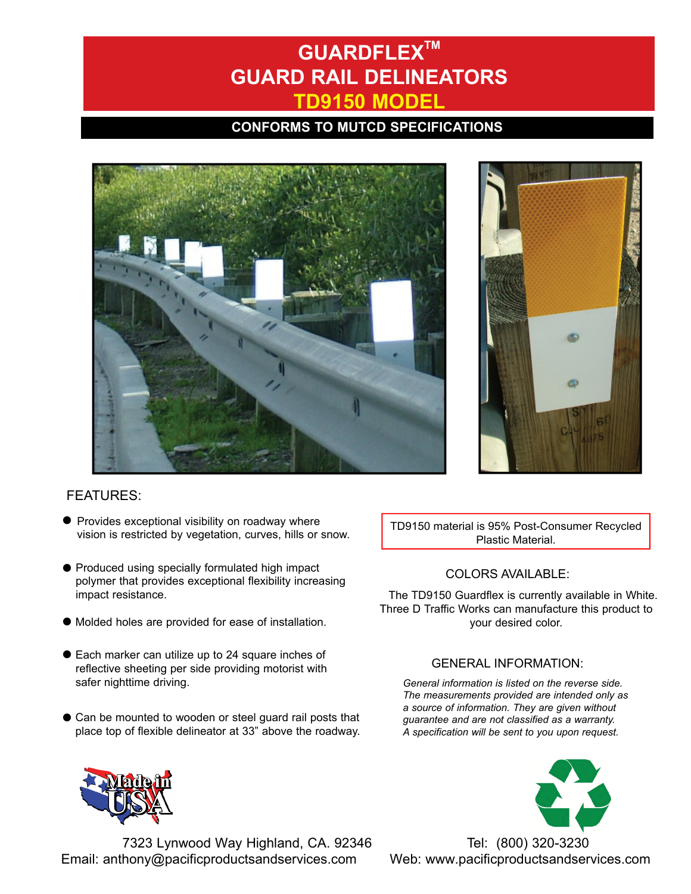# **GUARDFLEXTM GUARD RAIL DELINEATORS TD9150 MODEL**

## **CONFORMS TO MUTCD SPECIFICATIONS**





### FEATURES:

- l Provides exceptional visibility on roadway where vision is restricted by vegetation, curves, hills or snow.
- l Produced using specially formulated high impact polymer that provides exceptional flexibility increasing impact resistance.
- l Molded holes are provided for ease of installation.
- l Each marker can utilize up to 24 square inches of reflective sheeting per side providing motorist with safer nighttime driving.
- $\bullet$  Can be mounted to wooden or steel guard rail posts that place top of flexible delineator at 33" above the roadway.

TD9150 material is 95% Post-Consumer Recycled Plastic Material.

#### COLORS AVAILABLE:

The TD9150 Guardflex is currently available in White. Three D Traffic Works can manufacture this product to your desired color.

#### GENERAL INFORMATION:

*General information is listed on the reverse side. The measurements provided are intended only as a source of information. They are given without guarantee and are not classified as a warranty. A specification will be sent to you upon request.*



7323 Lynwood Way Highland, CA. 92346 Tel: (800) 320-3230 Email: anthony@pacificproductsandservices.com Web: www.pacificproductsandservices.com